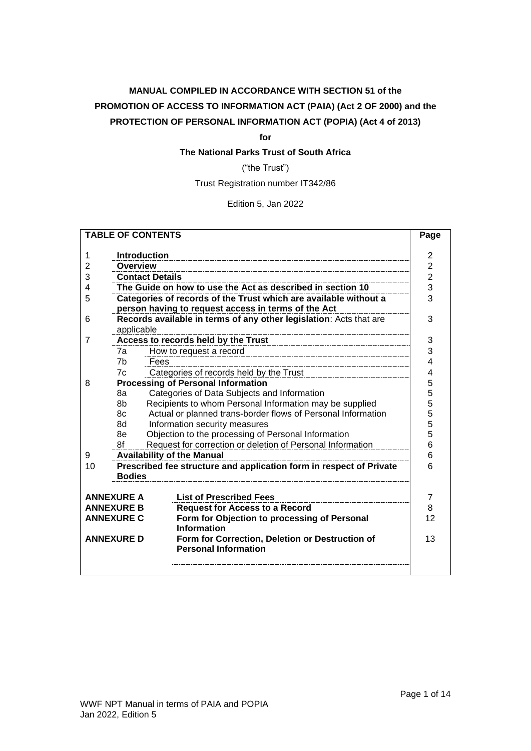# **MANUAL COMPILED IN ACCORDANCE WITH SECTION 51 of the PROMOTION OF ACCESS TO INFORMATION ACT (PAIA) (Act 2 OF 2000) and the PROTECTION OF PERSONAL INFORMATION ACT (POPIA) (Act 4 of 2013)**

**for**

# **The National Parks Trust of South Africa**

("the Trust")

Trust Registration number IT342/86

Edition 5, Jan 2022

| <b>TABLE OF CONTENTS</b>                                                  |                                                                  |                                                                                |                |  |  |  |  |  |
|---------------------------------------------------------------------------|------------------------------------------------------------------|--------------------------------------------------------------------------------|----------------|--|--|--|--|--|
|                                                                           |                                                                  |                                                                                | 2              |  |  |  |  |  |
| 1                                                                         |                                                                  | <b>Introduction</b>                                                            |                |  |  |  |  |  |
| 2                                                                         | Overview                                                         |                                                                                | $\overline{2}$ |  |  |  |  |  |
| 3                                                                         |                                                                  | <b>Contact Details</b>                                                         | $\overline{2}$ |  |  |  |  |  |
| 4                                                                         |                                                                  | The Guide on how to use the Act as described in section 10                     | 3<br>3         |  |  |  |  |  |
| 5                                                                         | Categories of records of the Trust which are available without a |                                                                                |                |  |  |  |  |  |
|                                                                           |                                                                  | person having to request access in terms of the Act                            |                |  |  |  |  |  |
| 6                                                                         |                                                                  | Records available in terms of any other legislation: Acts that are             | 3              |  |  |  |  |  |
|                                                                           | applicable                                                       |                                                                                |                |  |  |  |  |  |
| 7                                                                         |                                                                  | Access to records held by the Trust                                            | 3              |  |  |  |  |  |
|                                                                           | 7a                                                               | How to request a record                                                        | 3              |  |  |  |  |  |
|                                                                           | 7 <sub>b</sub>                                                   | Fees                                                                           | 4              |  |  |  |  |  |
|                                                                           | 7c                                                               | Categories of records held by the Trust                                        | 4              |  |  |  |  |  |
| 8                                                                         |                                                                  | <b>Processing of Personal Information</b>                                      | 5              |  |  |  |  |  |
|                                                                           | 8a                                                               | Categories of Data Subjects and Information                                    | 5              |  |  |  |  |  |
|                                                                           | 8b                                                               | Recipients to whom Personal Information may be supplied                        | 5              |  |  |  |  |  |
|                                                                           | 8c                                                               | Actual or planned trans-border flows of Personal Information                   | 5<br>5         |  |  |  |  |  |
|                                                                           | 8d                                                               | Information security measures                                                  |                |  |  |  |  |  |
|                                                                           | 8e                                                               | Objection to the processing of Personal Information                            |                |  |  |  |  |  |
|                                                                           | 8f                                                               | Request for correction or deletion of Personal Information                     |                |  |  |  |  |  |
| 9                                                                         | <b>Availability of the Manual</b>                                |                                                                                |                |  |  |  |  |  |
| Prescribed fee structure and application form in respect of Private<br>10 |                                                                  |                                                                                |                |  |  |  |  |  |
|                                                                           | <b>Bodies</b>                                                    |                                                                                |                |  |  |  |  |  |
|                                                                           |                                                                  |                                                                                |                |  |  |  |  |  |
|                                                                           | <b>ANNEXURE A</b>                                                | <b>List of Prescribed Fees</b>                                                 | 7              |  |  |  |  |  |
|                                                                           | <b>ANNEXURE B</b>                                                | <b>Request for Access to a Record</b>                                          | 8              |  |  |  |  |  |
|                                                                           | <b>ANNEXURE C</b>                                                | Form for Objection to processing of Personal<br><b>Information</b>             | 12             |  |  |  |  |  |
| <b>ANNEXURE D</b>                                                         |                                                                  | Form for Correction, Deletion or Destruction of<br><b>Personal Information</b> | 13             |  |  |  |  |  |
|                                                                           |                                                                  |                                                                                |                |  |  |  |  |  |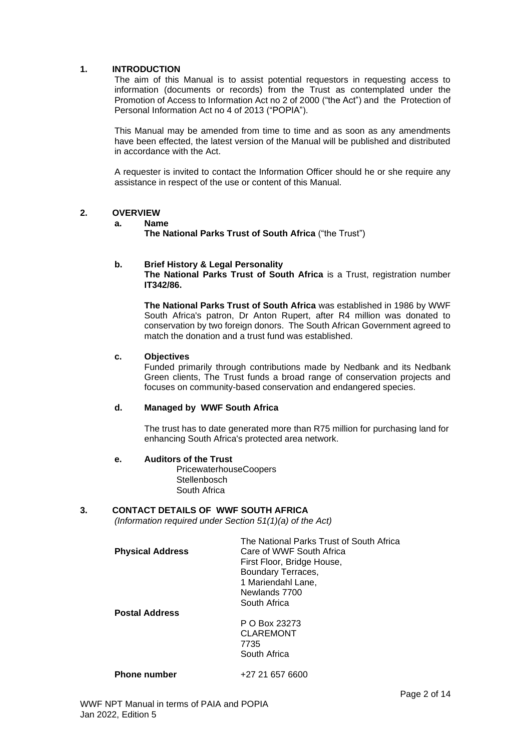### <span id="page-1-0"></span>**1. INTRODUCTION**

The aim of this Manual is to assist potential requestors in requesting access to information (documents or records) from the Trust as contemplated under the Promotion of Access to Information Act no 2 of 2000 ("the Act") and the Protection of Personal Information Act no 4 of 2013 ("POPIA").

This Manual may be amended from time to time and as soon as any amendments have been effected, the latest version of the Manual will be published and distributed in accordance with the Act.

A requester is invited to contact the Information Officer should he or she require any assistance in respect of the use or content of this Manual.

#### <span id="page-1-1"></span>**2. OVERVIEW**

#### **a. Name**

**The National Parks Trust of South Africa** ("the Trust")

#### **b. Brief History & Legal Personality**

**The National Parks Trust of South Africa** is a Trust, registration number **IT342/86.** 

**The National Parks Trust of South Africa** was established in 1986 by WWF South Africa's patron, Dr Anton Rupert, after R4 million was donated to conservation by two foreign donors. The South African Government agreed to match the donation and a trust fund was established.

### **c. Objectives**

Funded primarily through contributions made by Nedbank and its Nedbank Green clients, The Trust funds a broad range of conservation projects and focuses on community-based conservation and endangered species.

#### **d. Managed by WWF South Africa**

The trust has to date generated more than R75 million for purchasing land for enhancing South Africa's protected area network.

#### **e. Auditors of the Trust**

PricewaterhouseCoopers **Stellenbosch** South Africa

#### <span id="page-1-2"></span>**3. CONTACT DETAILS OF WWF SOUTH AFRICA**

*(Information required under Section 51(1)(a) of the Act)*

|                         | The National Parks Trust of South Africa |
|-------------------------|------------------------------------------|
| <b>Physical Address</b> | Care of WWF South Africa                 |
|                         | First Floor, Bridge House,               |
|                         | Boundary Terraces,                       |
|                         | 1 Mariendahl Lane,                       |
|                         | Newlands 7700                            |
|                         | South Africa                             |
| <b>Postal Address</b>   |                                          |
|                         | P O Box 23273                            |
|                         | <b>CLAREMONT</b>                         |
|                         | 7735                                     |
|                         | South Africa                             |
| <b>Phone number</b>     | +27 21 657 6600                          |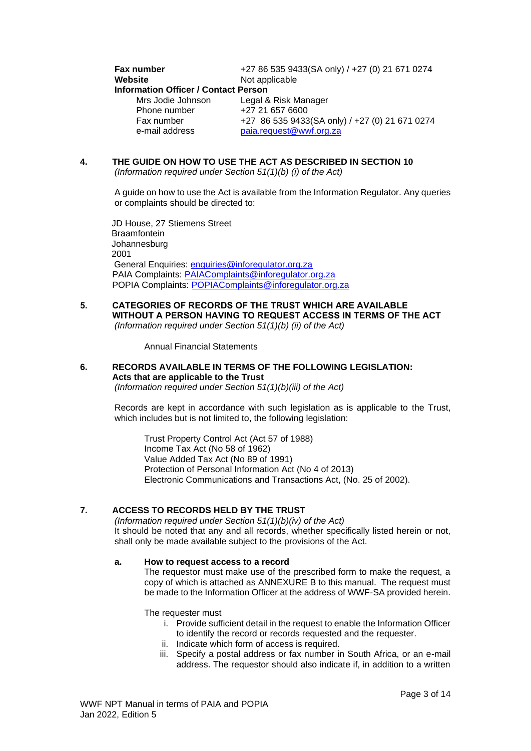# **Fax number**  $+27 86 535 9433(SA only) / +27 (0) 21 671 0274$ <br>**Website** Not applicable [Not](http://www.wwf.org.za/) applicable **Information Officer / Contact Person** Mrs Jodie Johnson Legal & Risk Manager<br>Phone number +27 21 657 6600

Phone number<br>Fax number Fax number +27 86 535 9433(SA only) / +27 (0) 21 671 0274<br>e-mail address paia.request@wwf.org.za paia.request@wwf.org.za

## <span id="page-2-0"></span>**4. THE GUIDE ON HOW TO USE THE ACT AS DESCRIBED IN SECTION 10**

*(Information required under Section 51(1)(b) (i) of the Act)*

A guide on how to use the Act is available from the Information Regulator. Any queries or complaints should be directed to:

JD House, 27 Stiemens Street **Braamfontein** Johannesburg 2001 General Enquiries: [enquiries@inforegulator.org.za](mailto:enquiries@inforegulator.org.za) PAIA Complaints: [PAIAComplaints@inforegulator.org.za](mailto:PAIAComplaints@inforegulator.org.za) POPIA Complaints: [POPIAComplaints@inforegulator.org.za](mailto:POPIAComplaints@inforegulator.org.za)

<span id="page-2-1"></span>**5. CATEGORIES OF RECORDS OF THE TRUST WHICH ARE AVAILABLE WITHOUT A PERSON HAVING TO REQUEST ACCESS IN TERMS OF THE ACT** *(Information required under Section 51(1)(b) (ii) of the Act)*

Annual Financial Statements

# <span id="page-2-2"></span>**6. RECORDS AVAILABLE IN TERMS OF THE FOLLOWING LEGISLATION: Acts that are applicable to the Trust**

*(Information required under Section 51(1)(b)(iii) of the Act)*

Records are kept in accordance with such legislation as is applicable to the Trust, which includes but is not limited to, the following legislation:

Trust Property Control Act (Act 57 of 1988) Income Tax Act (No 58 of 1962) Value Added Tax Act (No 89 of 1991) Protection of Personal Information Act (No 4 of 2013) Electronic Communications and Transactions Act, (No. 25 of 2002).

### <span id="page-2-3"></span>**7. ACCESS TO RECORDS HELD BY THE TRUST**

*(Information required under Section 51(1)(b)(iv) of the Act)* It should be noted that any and all records, whether specifically listed herein or not, shall only be made available subject to the provisions of the Act.

### <span id="page-2-4"></span>**a. How to request access to a record**

The requestor must make use of the prescribed form to make the request, a copy of which is attached as ANNEXURE B to this manual. The request must be made to the Information Officer at the address of WWF-SA provided herein.

The requester must

- i. Provide sufficient detail in the request to enable the Information Officer to identify the record or records requested and the requester.
- ii. Indicate which form of access is required.
- iii. Specify a postal address or fax number in South Africa, or an e-mail address. The requestor should also indicate if, in addition to a written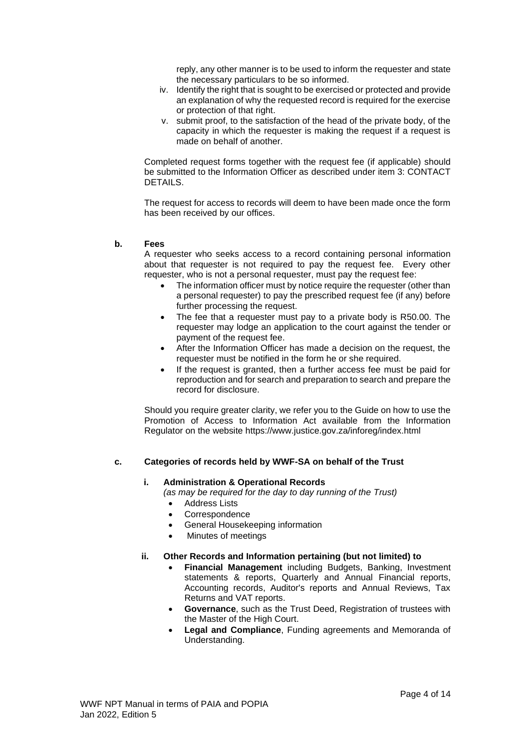reply, any other manner is to be used to inform the requester and state the necessary particulars to be so informed.

- iv. Identify the right that is sought to be exercised or protected and provide an explanation of why the requested record is required for the exercise or protection of that right.
- v. submit proof, to the satisfaction of the head of the private body, of the capacity in which the requester is making the request if a request is made on behalf of another.

Completed request forms together with the request fee (if applicable) should be submitted to the Information Officer as described under item 3: CONTACT DETAILS.

The request for access to records will deem to have been made once the form has been received by our offices.

#### <span id="page-3-0"></span>**b. Fees**

A requester who seeks access to a record containing personal information about that requester is not required to pay the request fee. Every other requester, who is not a personal requester, must pay the request fee:

- The information officer must by notice require the requester (other than a personal requester) to pay the prescribed request fee (if any) before further processing the request.
- The fee that a requester must pay to a private body is R50.00. The requester may lodge an application to the court against the tender or payment of the request fee.
- After the Information Officer has made a decision on the request, the requester must be notified in the form he or she required.
- If the request is granted, then a further access fee must be paid for reproduction and for search and preparation to search and prepare the record for disclosure.

Should you require greater clarity, we refer you to the Guide on how to use the Promotion of Access to Information Act available from the Information Regulator on the website https://www.justice.gov.za/inforeg/index.html

#### <span id="page-3-1"></span>**c. Categories of records held by WWF-SA on behalf of the Trust**

#### **i. Administration & Operational Records**

*(as may be required for the day to day running of the Trust)*

- Address Lists
- **Correspondence**
- General Housekeeping information
- Minutes of meetings

#### **ii. Other Records and Information pertaining (but not limited) to**

- **Financial Management** including Budgets, Banking, Investment statements & reports, Quarterly and Annual Financial reports, Accounting records, Auditor's reports and Annual Reviews, Tax Returns and VAT reports.
- **Governance**, such as the Trust Deed, Registration of trustees with the Master of the High Court.
- **Legal and Compliance**, Funding agreements and Memoranda of Understanding.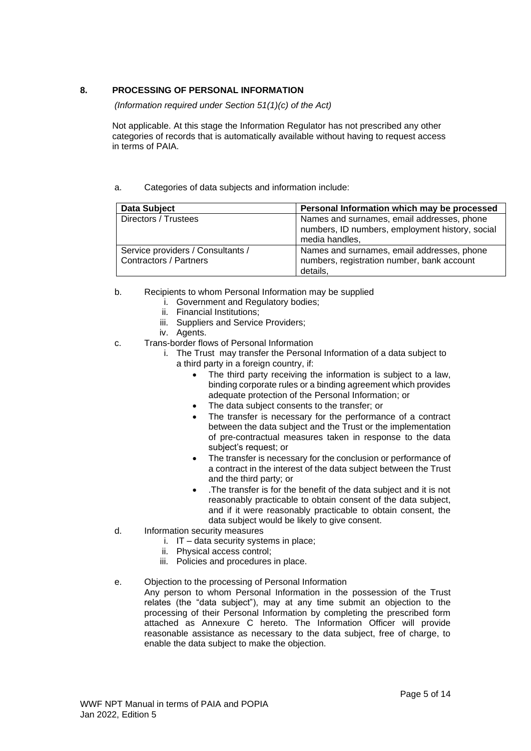# <span id="page-4-0"></span>**8. PROCESSING OF PERSONAL INFORMATION**

*(Information required under Section 51(1)(c) of the Act)*

Not applicable. At this stage the Information Regulator has not prescribed any other categories of records that is automatically available without having to request access in terms of PAIA.

### <span id="page-4-1"></span>a. Categories of data subjects and information include:

| <b>Data Subject</b>                                                | Personal Information which may be processed                                                                     |
|--------------------------------------------------------------------|-----------------------------------------------------------------------------------------------------------------|
| Directors / Trustees                                               | Names and surnames, email addresses, phone<br>numbers, ID numbers, employment history, social<br>media handles, |
| Service providers / Consultants /<br><b>Contractors / Partners</b> | Names and surnames, email addresses, phone<br>numbers, registration number, bank account<br>details.            |

- <span id="page-4-2"></span>b. Recipients to whom Personal Information may be supplied
	- i. Government and Regulatory bodies;
	- ii. Financial Institutions;
	- iii. Suppliers and Service Providers;
	- iv. Agents.
- <span id="page-4-3"></span>c. Trans-border flows of Personal Information
	- i. The Trust may transfer the Personal Information of a data subject to a third party in a foreign country, if:
		- The third party receiving the information is subject to a law, binding corporate rules or a binding agreement which provides adequate protection of the Personal Information; or
		- The data subject consents to the transfer; or
		- The transfer is necessary for the performance of a contract between the data subject and the Trust or the implementation of pre-contractual measures taken in response to the data subject's request; or
		- The transfer is necessary for the conclusion or performance of a contract in the interest of the data subject between the Trust and the third party; or
		- .The transfer is for the benefit of the data subject and it is not reasonably practicable to obtain consent of the data subject, and if it were reasonably practicable to obtain consent, the data subject would be likely to give consent.
- <span id="page-4-4"></span>d. Information security measures
	- i. IT data security systems in place;
	- ii. Physical access control;
	- iii. Policies and procedures in place.
- <span id="page-4-5"></span>e. Objection to the processing of Personal Information

Any person to whom Personal Information in the possession of the Trust relates (the "data subject"), may at any time submit an objection to the processing of their Personal Information by completing the prescribed form attached as Annexure C hereto. The Information Officer will provide reasonable assistance as necessary to the data subject, free of charge, to enable the data subject to make the objection.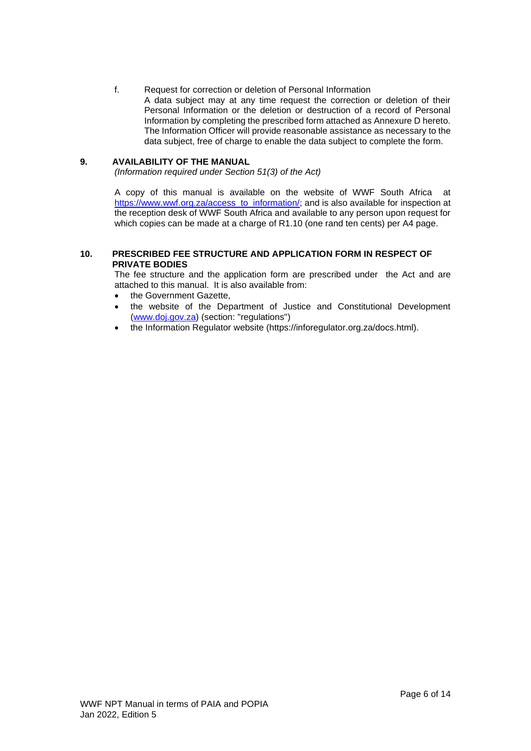### <span id="page-5-0"></span>f. Request for correction or deletion of Personal Information

A data subject may at any time request the correction or deletion of their Personal Information or the deletion or destruction of a record of Personal Information by completing the prescribed form attached as Annexure D hereto. The Information Officer will provide reasonable assistance as necessary to the data subject, free of charge to enable the data subject to complete the form.

### <span id="page-5-1"></span>**9. AVAILABILITY OF THE MANUAL**

*(Information required under Section 51(3) of the Act)*

A copy of this manual is available on the website of WWF South Africa at [https://www.wwf.org.za/access\\_to\\_information/;](https://www.wwf.org.za/access_to_information/) and is also available for inspection at the reception desk of WWF South Africa and available to any person upon request for which copies can be made at a charge of R1.10 (one rand ten cents) per A4 page.

### <span id="page-5-2"></span>**10. PRESCRIBED FEE STRUCTURE AND APPLICATION FORM IN RESPECT OF PRIVATE BODIES**

The fee structure and the application form are prescribed under the Act and are attached to this manual. It is also available from:

- the Government Gazette.
- the website of the Department of Justice and Constitutional Development [\(www.doj.gov.za\)](http://www.doj.gov.za/) (section: "regulations")
- the Information Regulator website (https://inforegulator.org.za/docs.html).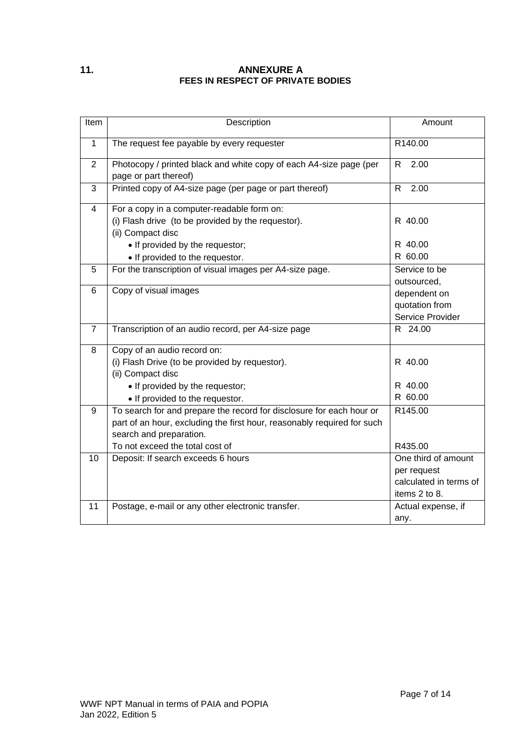# <span id="page-6-0"></span>**11. ANNEXURE A FEES IN RESPECT OF PRIVATE BODIES**

| Item           | Description                                                                                                                                                                                                   | Amount                                                                        |
|----------------|---------------------------------------------------------------------------------------------------------------------------------------------------------------------------------------------------------------|-------------------------------------------------------------------------------|
| $\mathbf{1}$   | The request fee payable by every requester                                                                                                                                                                    | R140.00                                                                       |
| $\overline{2}$ | Photocopy / printed black and white copy of each A4-size page (per<br>page or part thereof)                                                                                                                   | R<br>2.00                                                                     |
| 3              | Printed copy of A4-size page (per page or part thereof)                                                                                                                                                       | R.<br>2.00                                                                    |
| $\overline{4}$ | For a copy in a computer-readable form on:<br>(i) Flash drive (to be provided by the requestor).<br>(ii) Compact disc                                                                                         | R 40.00                                                                       |
|                | • If provided by the requestor;<br>• If provided to the requestor.                                                                                                                                            | R 40.00<br>R 60.00                                                            |
| 5              | For the transcription of visual images per A4-size page.                                                                                                                                                      | Service to be<br>outsourced,                                                  |
| 6              | Copy of visual images                                                                                                                                                                                         | dependent on<br>quotation from<br>Service Provider                            |
| $\overline{7}$ | Transcription of an audio record, per A4-size page                                                                                                                                                            | R 24.00                                                                       |
| 8              | Copy of an audio record on:<br>(i) Flash Drive (to be provided by requestor).<br>(ii) Compact disc<br>• If provided by the requestor;<br>• If provided to the requestor.                                      | R 40.00<br>R 40.00<br>R 60.00                                                 |
| 9              | To search for and prepare the record for disclosure for each hour or<br>part of an hour, excluding the first hour, reasonably required for such<br>search and preparation.<br>To not exceed the total cost of | R145.00<br>R435.00                                                            |
| 10             | Deposit: If search exceeds 6 hours                                                                                                                                                                            | One third of amount<br>per request<br>calculated in terms of<br>items 2 to 8. |
| 11             | Postage, e-mail or any other electronic transfer.                                                                                                                                                             | Actual expense, if<br>any.                                                    |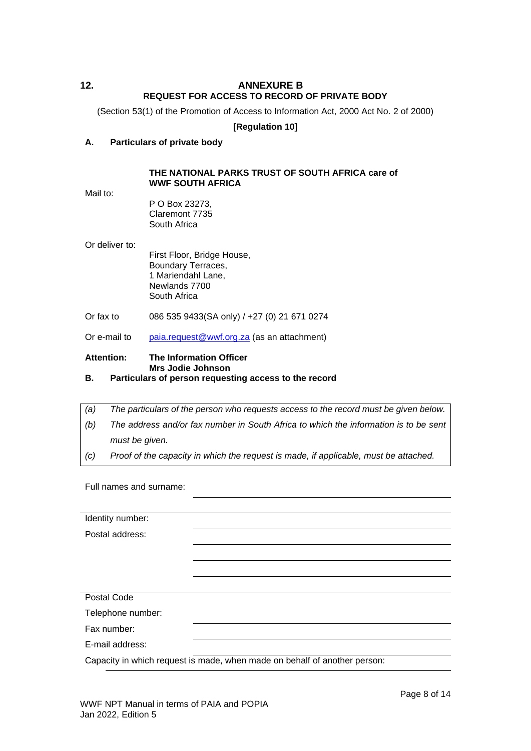# <span id="page-7-0"></span>**12. ANNEXURE B REQUEST FOR ACCESS TO RECORD OF PRIVATE BODY**

(Section 53(1) of the Promotion of Access to Information Act, 2000 Act No. 2 of 2000)

### **[Regulation 10]**

### **A. Particulars of private body**

### **THE NATIONAL PARKS TRUST OF SOUTH AFRICA care of WWF SOUTH AFRICA**

Mail to:

P O Box 23273, Claremont 7735 South Africa

Or deliver to:

First Floor, Bridge House, Boundary Terraces, 1 Mariendahl Lane, Newlands 7700 South Africa

- Or fax to 086 535 9433(SA only) / +27 (0) 21 671 0274
- Or e-mail to [paia.request@wwf.org.za](mailto:paia.request@wwf.org.za) (as an attachment)

# **Attention: The Information Officer Mrs Jodie Johnson**

- **B. Particulars of person requesting access to the record**
- *(a) The particulars of the person who requests access to the record must be given below.*
- *(b) The address and/or fax number in South Africa to which the information is to be sent must be given.*
- *(c) Proof of the capacity in which the request is made, if applicable, must be attached.*

Full names and surname:

| Identity number:                                                          |  |  |  |
|---------------------------------------------------------------------------|--|--|--|
| Postal address:                                                           |  |  |  |
|                                                                           |  |  |  |
|                                                                           |  |  |  |
|                                                                           |  |  |  |
|                                                                           |  |  |  |
| Postal Code                                                               |  |  |  |
| Telephone number:                                                         |  |  |  |
| Fax number:                                                               |  |  |  |
| E-mail address:                                                           |  |  |  |
| Capacity in which request is made, when made on behalf of another person: |  |  |  |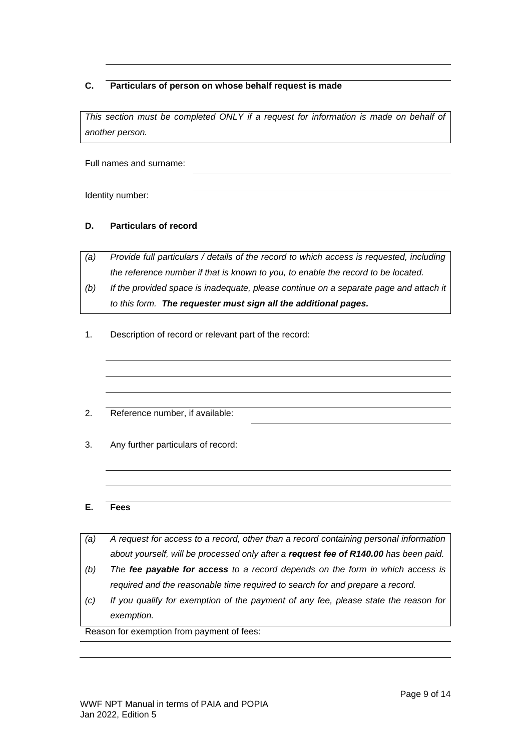# **C. Particulars of person on whose behalf request is made**

*This section must be completed ONLY if a request for information is made on behalf of another person.*

Full names and surname:

Identity number:

# **D. Particulars of record**

*(a) Provide full particulars / details of the record to which access is requested, including the reference number if that is known to you, to enable the record to be located.*

- *(b) If the provided space is inadequate, please continue on a separate page and attach it to this form. The requester must sign all the additional pages.*
- 1. Description of record or relevant part of the record:
- 2. Reference number, if available:
- 3. Any further particulars of record:

### **E. Fees**

|     | exemption.                                                                            |
|-----|---------------------------------------------------------------------------------------|
| (c) | If you qualify for exemption of the payment of any fee, please state the reason for   |
|     | required and the reasonable time required to search for and prepare a record.         |
| (b) | The fee payable for access to a record depends on the form in which access is         |
|     | about yourself, will be processed only after a request fee of R140.00 has been paid.  |
| (a) | A request for access to a record, other than a record containing personal information |
|     |                                                                                       |

Reason for exemption from payment of fees: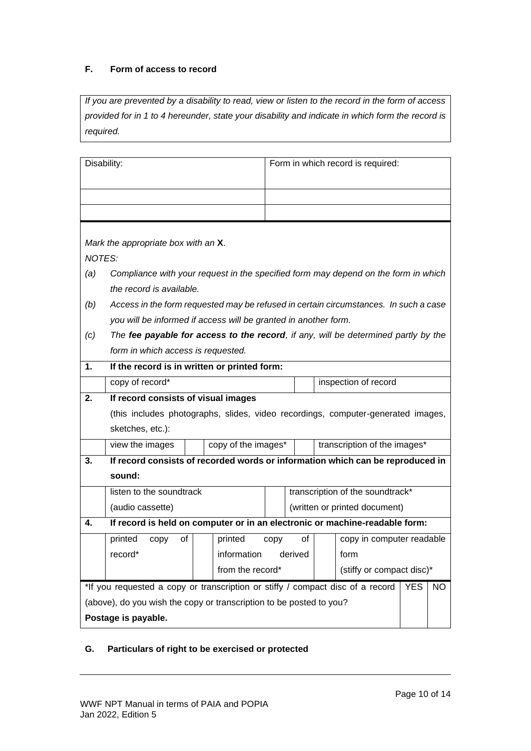# **F. Form of access to record**

*If you are prevented by a disability to read, view or listen to the record in the form of access provided for in 1 to 4 hereunder, state your disability and indicate in which form the record is required.*

| Disability:                                                                                         |                                                                                    |                  |                     |      | Form in which record is required: |  |                                                                                      |  |  |
|-----------------------------------------------------------------------------------------------------|------------------------------------------------------------------------------------|------------------|---------------------|------|-----------------------------------|--|--------------------------------------------------------------------------------------|--|--|
|                                                                                                     |                                                                                    |                  |                     |      |                                   |  |                                                                                      |  |  |
|                                                                                                     |                                                                                    |                  |                     |      |                                   |  |                                                                                      |  |  |
|                                                                                                     |                                                                                    |                  |                     |      |                                   |  |                                                                                      |  |  |
| Mark the appropriate box with an X.                                                                 |                                                                                    |                  |                     |      |                                   |  |                                                                                      |  |  |
| <b>NOTES:</b>                                                                                       |                                                                                    |                  |                     |      |                                   |  |                                                                                      |  |  |
| (a)                                                                                                 | Compliance with your request in the specified form may depend on the form in which |                  |                     |      |                                   |  |                                                                                      |  |  |
| the record is available.                                                                            |                                                                                    |                  |                     |      |                                   |  |                                                                                      |  |  |
| (b)                                                                                                 |                                                                                    |                  |                     |      |                                   |  | Access in the form requested may be refused in certain circumstances. In such a case |  |  |
| you will be informed if access will be granted in another form.                                     |                                                                                    |                  |                     |      |                                   |  |                                                                                      |  |  |
| (c)                                                                                                 |                                                                                    |                  |                     |      |                                   |  | The fee payable for access to the record, if any, will be determined partly by the   |  |  |
| form in which access is requested.                                                                  |                                                                                    |                  |                     |      |                                   |  |                                                                                      |  |  |
| 1.<br>If the record is in written or printed form:                                                  |                                                                                    |                  |                     |      |                                   |  |                                                                                      |  |  |
| copy of record*                                                                                     | inspection of record                                                               |                  |                     |      |                                   |  |                                                                                      |  |  |
| 2.                                                                                                  | If record consists of visual images                                                |                  |                     |      |                                   |  |                                                                                      |  |  |
|                                                                                                     | (this includes photographs, slides, video recordings, computer-generated images,   |                  |                     |      |                                   |  |                                                                                      |  |  |
| sketches, etc.):                                                                                    |                                                                                    |                  |                     |      |                                   |  |                                                                                      |  |  |
| view the images                                                                                     |                                                                                    |                  | copy of the images* |      |                                   |  | transcription of the images*                                                         |  |  |
| 3.                                                                                                  | If record consists of recorded words or information which can be reproduced in     |                  |                     |      |                                   |  |                                                                                      |  |  |
| sound:                                                                                              |                                                                                    |                  |                     |      |                                   |  |                                                                                      |  |  |
| listen to the soundtrack                                                                            |                                                                                    |                  |                     |      | transcription of the soundtrack*  |  |                                                                                      |  |  |
|                                                                                                     | (audio cassette)                                                                   |                  |                     |      |                                   |  | (written or printed document)                                                        |  |  |
| 4.                                                                                                  | If record is held on computer or in an electronic or machine-readable form:        |                  |                     |      |                                   |  |                                                                                      |  |  |
| printed<br>copy                                                                                     | οf                                                                                 |                  | printed             | copy | οf                                |  | copy in computer readable                                                            |  |  |
| record*                                                                                             |                                                                                    |                  | information derived |      |                                   |  | form                                                                                 |  |  |
|                                                                                                     |                                                                                    | from the record* |                     |      | (stiffy or compact disc)*         |  |                                                                                      |  |  |
| *If you requested a copy or transcription or stiffy / compact disc of a record<br><b>YES</b><br>NO. |                                                                                    |                  |                     |      |                                   |  |                                                                                      |  |  |
| (above), do you wish the copy or transcription to be posted to you?                                 |                                                                                    |                  |                     |      |                                   |  |                                                                                      |  |  |
| Postage is payable.                                                                                 |                                                                                    |                  |                     |      |                                   |  |                                                                                      |  |  |

# **G. Particulars of right to be exercised or protected**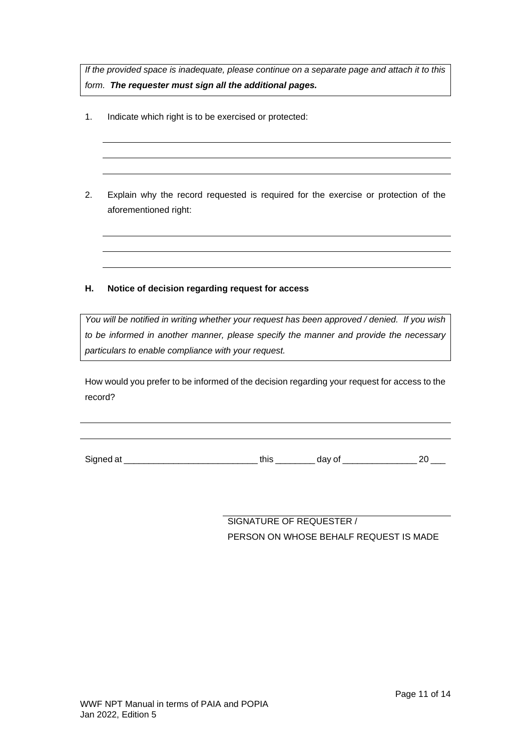*If the provided space is inadequate, please continue on a separate page and attach it to this form. The requester must sign all the additional pages.*

- 1. Indicate which right is to be exercised or protected:
- 2. Explain why the record requested is required for the exercise or protection of the aforementioned right:

# **H. Notice of decision regarding request for access**

*You will be notified in writing whether your request has been approved / denied. If you wish to be informed in another manner, please specify the manner and provide the necessary particulars to enable compliance with your request.*

How would you prefer to be informed of the decision regarding your request for access to the record?

Signed at \_\_\_\_\_\_\_\_\_\_\_\_\_\_\_\_\_\_\_\_\_\_\_\_\_\_\_ this \_\_\_\_\_\_\_\_ day of \_\_\_\_\_\_\_\_\_\_\_\_\_\_\_ 20 \_\_\_

SIGNATURE OF REQUESTER / PERSON ON WHOSE BEHALF REQUEST IS MADE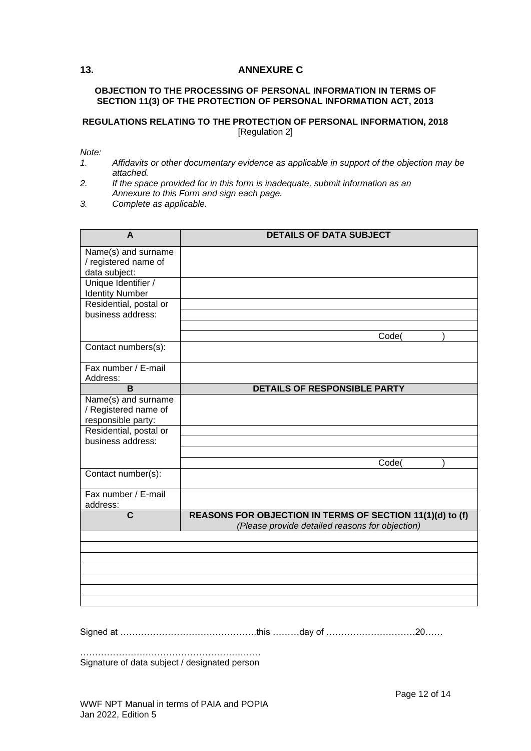# <span id="page-11-0"></span>**13. ANNEXURE C**

### **OBJECTION TO THE PROCESSING OF PERSONAL INFORMATION IN TERMS OF SECTION 11(3) OF THE PROTECTION OF PERSONAL INFORMATION ACT, 2013**

### **REGULATIONS RELATING TO THE PROTECTION OF PERSONAL INFORMATION, 2018** [Regulation 2]

*Note:*

- *1. Affidavits or other documentary evidence as applicable in support of the objection may be attached.*
- *2. If the space provided for in this form is inadequate, submit information as an Annexure to this Form and sign each page.*
- *3. Complete as applicable.*

| A                                                                 | <b>DETAILS OF DATA SUBJECT</b>                                                                               |
|-------------------------------------------------------------------|--------------------------------------------------------------------------------------------------------------|
| Name(s) and surname<br>/ registered name of<br>data subject:      |                                                                                                              |
| Unique Identifier /<br><b>Identity Number</b>                     |                                                                                                              |
| Residential, postal or<br>business address:                       |                                                                                                              |
|                                                                   | Code(                                                                                                        |
| Contact numbers(s):                                               |                                                                                                              |
| Fax number / E-mail<br>Address:                                   |                                                                                                              |
| B                                                                 | DETAILS OF RESPONSIBLE PARTY                                                                                 |
| Name(s) and surname<br>/ Registered name of<br>responsible party: |                                                                                                              |
| Residential, postal or<br>business address:                       |                                                                                                              |
|                                                                   | Code(                                                                                                        |
| Contact number(s):                                                |                                                                                                              |
| Fax number / E-mail<br>address:                                   |                                                                                                              |
| C                                                                 | REASONS FOR OBJECTION IN TERMS OF SECTION 11(1)(d) to (f)<br>(Please provide detailed reasons for objection) |
|                                                                   |                                                                                                              |
|                                                                   |                                                                                                              |
|                                                                   |                                                                                                              |
|                                                                   |                                                                                                              |
|                                                                   |                                                                                                              |
|                                                                   |                                                                                                              |

Signed at ……………………………………….this ………day of …………………………20……

……………………………………………………. Signature of data subject / designated person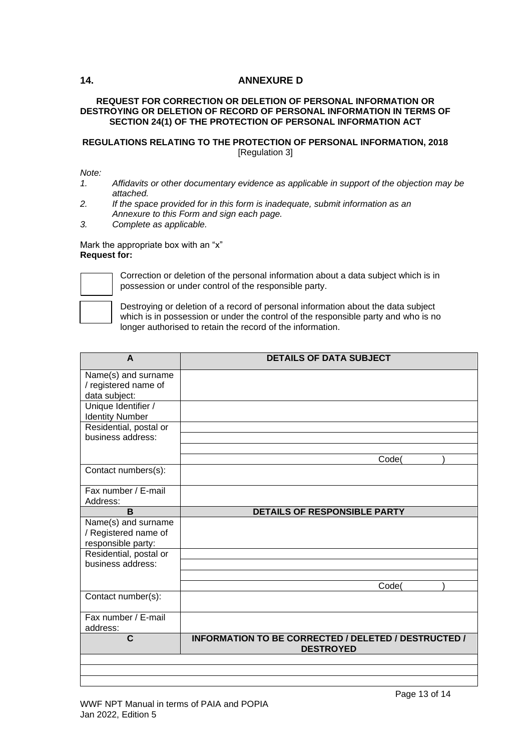# <span id="page-12-0"></span>**14. ANNEXURE D**

### **REQUEST FOR CORRECTION OR DELETION OF PERSONAL INFORMATION OR DESTROYING OR DELETION OF RECORD OF PERSONAL INFORMATION IN TERMS OF SECTION 24(1) OF THE PROTECTION OF PERSONAL INFORMATION ACT**

# **REGULATIONS RELATING TO THE PROTECTION OF PERSONAL INFORMATION, 2018** [Regulation 3]

### *Note:*

- *1. Affidavits or other documentary evidence as applicable in support of the objection may be attached.*
- *2. If the space provided for in this form is inadequate, submit information as an Annexure to this Form and sign each page.*
- *3. Complete as applicable.*

#### Mark the appropriate box with an "x" **Request for:**



Correction or deletion of the personal information about a data subject which is in possession or under control of the responsible party.

Destroying or deletion of a record of personal information about the data subject which is in possession or under the control of the responsible party and who is no longer authorised to retain the record of the information.

| A                      | <b>DETAILS OF DATA SUBJECT</b>                       |
|------------------------|------------------------------------------------------|
| Name(s) and surname    |                                                      |
| / registered name of   |                                                      |
| data subject:          |                                                      |
| Unique Identifier /    |                                                      |
| <b>Identity Number</b> |                                                      |
| Residential, postal or |                                                      |
| business address:      |                                                      |
|                        |                                                      |
|                        | Code(                                                |
| Contact numbers(s):    |                                                      |
| Fax number / E-mail    |                                                      |
| Address:               |                                                      |
| B                      | <b>DETAILS OF RESPONSIBLE PARTY</b>                  |
| Name(s) and surname    |                                                      |
| / Registered name of   |                                                      |
| responsible party:     |                                                      |
| Residential, postal or |                                                      |
| business address:      |                                                      |
|                        |                                                      |
|                        | Code(                                                |
| Contact number(s):     |                                                      |
| Fax number / E-mail    |                                                      |
| address:               |                                                      |
| C                      | INFORMATION TO BE CORRECTED / DELETED / DESTRUCTED / |
|                        | <b>DESTROYED</b>                                     |
|                        |                                                      |
|                        |                                                      |

#### WWF NPT Manual in terms of PAIA and POPIA Jan 2022, Edition 5